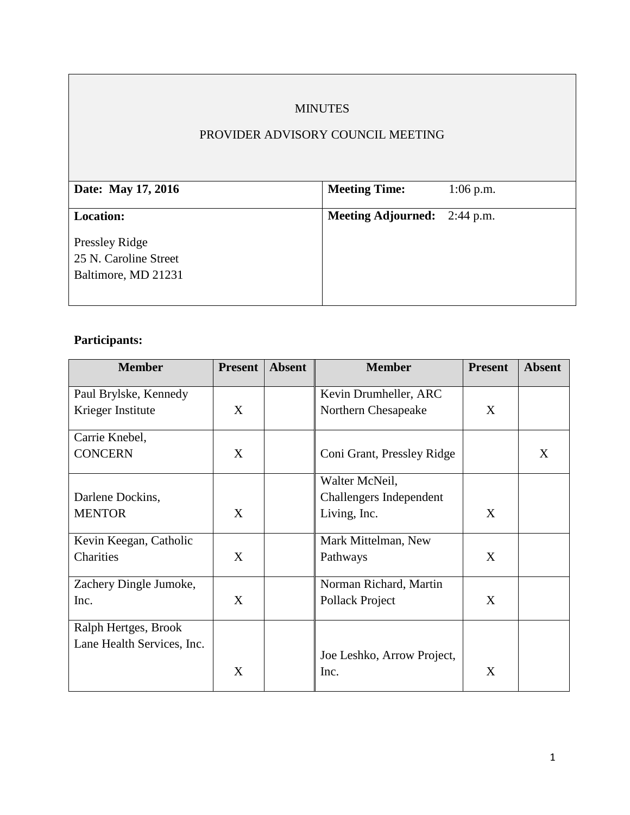# MINUTES

# PROVIDER ADVISORY COUNCIL MEETING

| Date: May 17, 2016    | <b>Meeting Time:</b>                | $1:06$ p.m. |
|-----------------------|-------------------------------------|-------------|
|                       |                                     |             |
| <b>Location:</b>      | <b>Meeting Adjourned:</b> 2:44 p.m. |             |
|                       |                                     |             |
| Pressley Ridge        |                                     |             |
| 25 N. Caroline Street |                                     |             |
| Baltimore, MD 21231   |                                     |             |
|                       |                                     |             |
|                       |                                     |             |

# **Participants:**

| <b>Member</b>              | <b>Present</b> | <b>Absent</b> | <b>Member</b>              | <b>Present</b> | <b>Absent</b> |
|----------------------------|----------------|---------------|----------------------------|----------------|---------------|
| Paul Brylske, Kennedy      |                |               | Kevin Drumheller, ARC      |                |               |
| Krieger Institute          | X              |               | Northern Chesapeake        | X              |               |
| Carrie Knebel,             |                |               |                            |                |               |
| <b>CONCERN</b>             | X              |               | Coni Grant, Pressley Ridge |                | X             |
|                            |                |               | Walter McNeil,             |                |               |
| Darlene Dockins,           |                |               | Challengers Independent    |                |               |
| <b>MENTOR</b>              | $\mathbf{X}$   |               | Living, Inc.               | X              |               |
| Kevin Keegan, Catholic     |                |               | Mark Mittelman, New        |                |               |
| Charities                  | X              |               | Pathways                   | X              |               |
| Zachery Dingle Jumoke,     |                |               | Norman Richard, Martin     |                |               |
| Inc.                       | $\mathbf{X}$   |               | Pollack Project            | X              |               |
| Ralph Hertges, Brook       |                |               |                            |                |               |
| Lane Health Services, Inc. |                |               |                            |                |               |
|                            |                |               | Joe Leshko, Arrow Project, |                |               |
|                            | X              |               | Inc.                       | X              |               |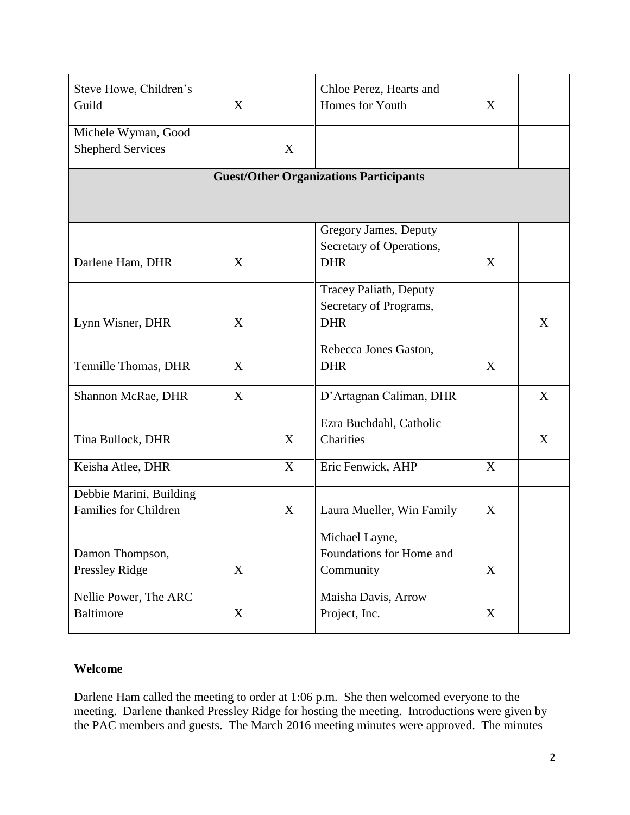| Steve Howe, Children's<br>Guild                         | X |   | Chloe Perez, Hearts and<br>Homes for Youth                            | X           |   |  |  |  |
|---------------------------------------------------------|---|---|-----------------------------------------------------------------------|-------------|---|--|--|--|
| Michele Wyman, Good<br><b>Shepherd Services</b>         |   | X |                                                                       |             |   |  |  |  |
| <b>Guest/Other Organizations Participants</b>           |   |   |                                                                       |             |   |  |  |  |
| Darlene Ham, DHR                                        | X |   | Gregory James, Deputy<br>Secretary of Operations,<br><b>DHR</b>       | X           |   |  |  |  |
| Lynn Wisner, DHR                                        | X |   | <b>Tracey Paliath, Deputy</b><br>Secretary of Programs,<br><b>DHR</b> |             | X |  |  |  |
| Tennille Thomas, DHR                                    | X |   | Rebecca Jones Gaston,<br><b>DHR</b>                                   | X           |   |  |  |  |
| Shannon McRae, DHR                                      | X |   | D'Artagnan Caliman, DHR                                               |             | X |  |  |  |
| Tina Bullock, DHR                                       |   | X | Ezra Buchdahl, Catholic<br>Charities                                  |             | X |  |  |  |
| Keisha Atlee, DHR                                       |   | X | Eric Fenwick, AHP                                                     | X           |   |  |  |  |
| Debbie Marini, Building<br><b>Families for Children</b> |   | X | Laura Mueller, Win Family                                             | X           |   |  |  |  |
| Damon Thompson,<br><b>Pressley Ridge</b>                | X |   | Michael Layne,<br>Foundations for Home and<br>Community               | X           |   |  |  |  |
| Nellie Power, The ARC<br><b>Baltimore</b>               | X |   | Maisha Davis, Arrow<br>Project, Inc.                                  | $\mathbf X$ |   |  |  |  |

#### **Welcome**

Darlene Ham called the meeting to order at 1:06 p.m. She then welcomed everyone to the meeting. Darlene thanked Pressley Ridge for hosting the meeting. Introductions were given by the PAC members and guests. The March 2016 meeting minutes were approved. The minutes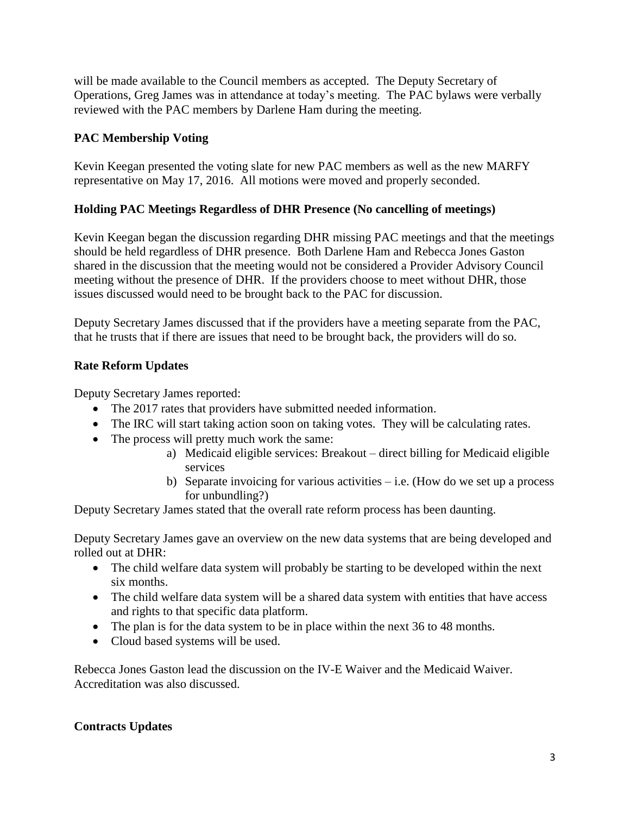will be made available to the Council members as accepted. The Deputy Secretary of Operations, Greg James was in attendance at today's meeting. The PAC bylaws were verbally reviewed with the PAC members by Darlene Ham during the meeting.

# **PAC Membership Voting**

Kevin Keegan presented the voting slate for new PAC members as well as the new MARFY representative on May 17, 2016. All motions were moved and properly seconded.

## **Holding PAC Meetings Regardless of DHR Presence (No cancelling of meetings)**

Kevin Keegan began the discussion regarding DHR missing PAC meetings and that the meetings should be held regardless of DHR presence. Both Darlene Ham and Rebecca Jones Gaston shared in the discussion that the meeting would not be considered a Provider Advisory Council meeting without the presence of DHR. If the providers choose to meet without DHR, those issues discussed would need to be brought back to the PAC for discussion.

Deputy Secretary James discussed that if the providers have a meeting separate from the PAC, that he trusts that if there are issues that need to be brought back, the providers will do so.

# **Rate Reform Updates**

Deputy Secretary James reported:

- The 2017 rates that providers have submitted needed information.
- The IRC will start taking action soon on taking votes. They will be calculating rates.
- The process will pretty much work the same:
	- a) Medicaid eligible services: Breakout direct billing for Medicaid eligible services
	- b) Separate invoicing for various activities  $-$  i.e. (How do we set up a process for unbundling?)

Deputy Secretary James stated that the overall rate reform process has been daunting.

Deputy Secretary James gave an overview on the new data systems that are being developed and rolled out at DHR:

- The child welfare data system will probably be starting to be developed within the next six months.
- The child welfare data system will be a shared data system with entities that have access and rights to that specific data platform.
- The plan is for the data system to be in place within the next 36 to 48 months.
- Cloud based systems will be used.

Rebecca Jones Gaston lead the discussion on the IV-E Waiver and the Medicaid Waiver. Accreditation was also discussed.

## **Contracts Updates**